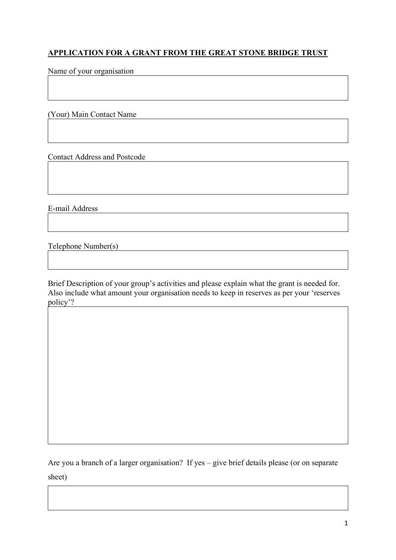## **APPLICATION FOR A GRANT FROM THE GREAT STONE BRIDGE TRUST**

Name of your organisation

(Your) Main Contact Name

Contact Address and Postcode

E-mail Address

Telephone Number(s)

Brief Description of your group's activities and please explain what the grant is needed for. Also include what amount your organisation needs to keep in reserves as per your 'reserves policy'?

Are you a branch of a larger organisation? If yes – give brief details please (or on separate sheet)